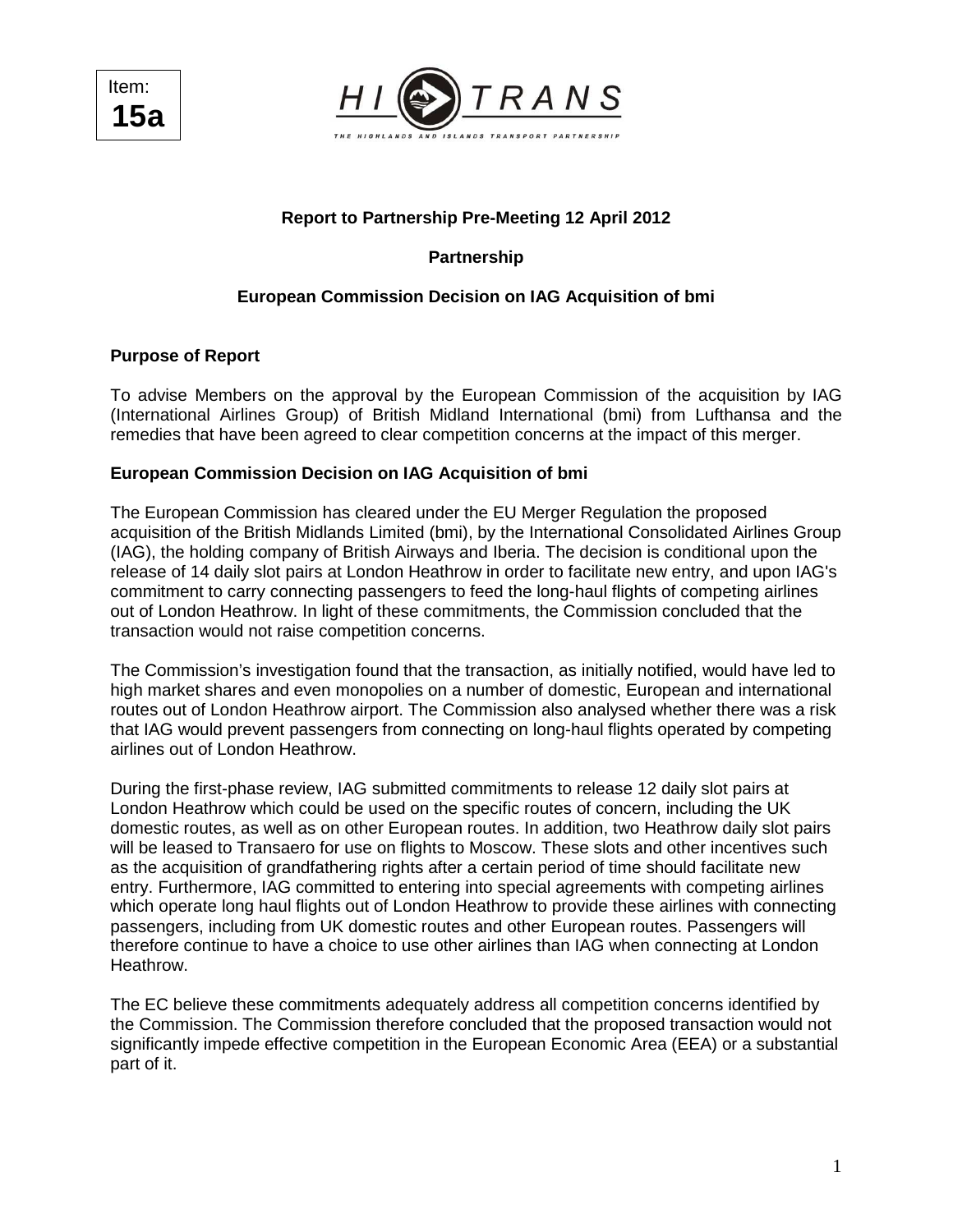



# **Report to Partnership Pre-Meeting 12 April 2012**

**Partnership** 

## **European Commission Decision on IAG Acquisition of bmi**

## **Purpose of Report**

To advise Members on the approval by the European Commission of the acquisition by IAG (International Airlines Group) of British Midland International (bmi) from Lufthansa and the remedies that have been agreed to clear competition concerns at the impact of this merger.

#### **European Commission Decision on IAG Acquisition of bmi**

The European Commission has cleared under the EU Merger Regulation the proposed acquisition of the British Midlands Limited (bmi), by the International Consolidated Airlines Group (IAG), the holding company of British Airways and Iberia. The decision is conditional upon the release of 14 daily slot pairs at London Heathrow in order to facilitate new entry, and upon IAG's commitment to carry connecting passengers to feed the long-haul flights of competing airlines out of London Heathrow. In light of these commitments, the Commission concluded that the transaction would not raise competition concerns.

The Commission's investigation found that the transaction, as initially notified, would have led to high market shares and even monopolies on a number of domestic, European and international routes out of London Heathrow airport. The Commission also analysed whether there was a risk that IAG would prevent passengers from connecting on long-haul flights operated by competing airlines out of London Heathrow.

During the first-phase review, IAG submitted commitments to release 12 daily slot pairs at London Heathrow which could be used on the specific routes of concern, including the UK domestic routes, as well as on other European routes. In addition, two Heathrow daily slot pairs will be leased to Transaero for use on flights to Moscow. These slots and other incentives such as the acquisition of grandfathering rights after a certain period of time should facilitate new entry. Furthermore, IAG committed to entering into special agreements with competing airlines which operate long haul flights out of London Heathrow to provide these airlines with connecting passengers, including from UK domestic routes and other European routes. Passengers will therefore continue to have a choice to use other airlines than IAG when connecting at London Heathrow.

The EC believe these commitments adequately address all competition concerns identified by the Commission. The Commission therefore concluded that the proposed transaction would not significantly impede effective competition in the European Economic Area (EEA) or a substantial part of it.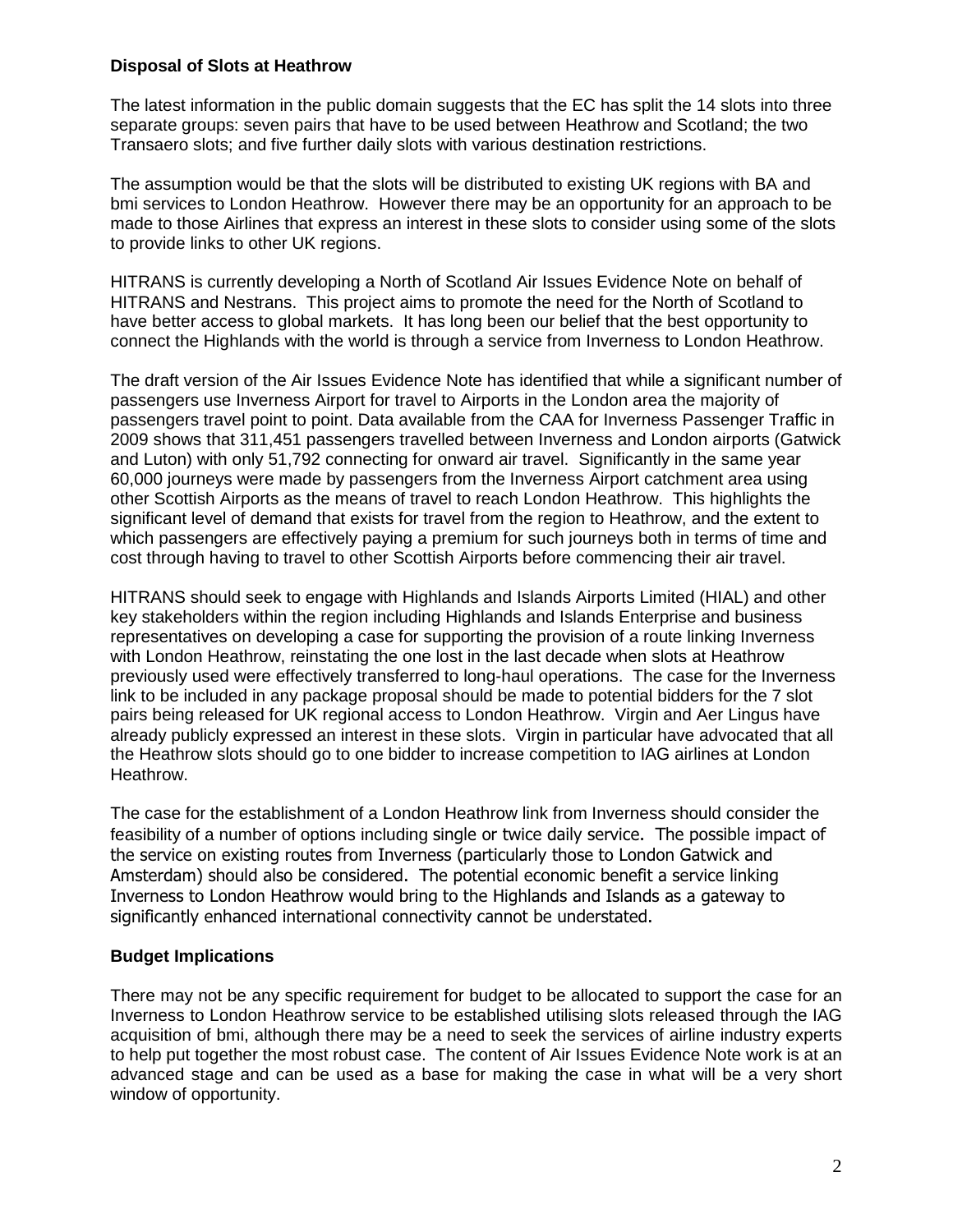## **Disposal of Slots at Heathrow**

The latest information in the public domain suggests that the EC has split the 14 slots into three separate groups: seven pairs that have to be used between Heathrow and Scotland; the two Transaero slots; and five further daily slots with various destination restrictions.

The assumption would be that the slots will be distributed to existing UK regions with BA and bmi services to London Heathrow. However there may be an opportunity for an approach to be made to those Airlines that express an interest in these slots to consider using some of the slots to provide links to other UK regions.

HITRANS is currently developing a North of Scotland Air Issues Evidence Note on behalf of HITRANS and Nestrans. This project aims to promote the need for the North of Scotland to have better access to global markets. It has long been our belief that the best opportunity to connect the Highlands with the world is through a service from Inverness to London Heathrow.

The draft version of the Air Issues Evidence Note has identified that while a significant number of passengers use Inverness Airport for travel to Airports in the London area the majority of passengers travel point to point. Data available from the CAA for Inverness Passenger Traffic in 2009 shows that 311,451 passengers travelled between Inverness and London airports (Gatwick and Luton) with only 51,792 connecting for onward air travel. Significantly in the same year 60,000 journeys were made by passengers from the Inverness Airport catchment area using other Scottish Airports as the means of travel to reach London Heathrow. This highlights the significant level of demand that exists for travel from the region to Heathrow, and the extent to which passengers are effectively paying a premium for such journeys both in terms of time and cost through having to travel to other Scottish Airports before commencing their air travel.

HITRANS should seek to engage with Highlands and Islands Airports Limited (HIAL) and other key stakeholders within the region including Highlands and Islands Enterprise and business representatives on developing a case for supporting the provision of a route linking Inverness with London Heathrow, reinstating the one lost in the last decade when slots at Heathrow previously used were effectively transferred to long-haul operations. The case for the Inverness link to be included in any package proposal should be made to potential bidders for the 7 slot pairs being released for UK regional access to London Heathrow. Virgin and Aer Lingus have already publicly expressed an interest in these slots. Virgin in particular have advocated that all the Heathrow slots should go to one bidder to increase competition to IAG airlines at London Heathrow.

The case for the establishment of a London Heathrow link from Inverness should consider the feasibility of a number of options including single or twice daily service. The possible impact of the service on existing routes from Inverness (particularly those to London Gatwick and Amsterdam) should also be considered. The potential economic benefit a service linking Inverness to London Heathrow would bring to the Highlands and Islands as a gateway to significantly enhanced international connectivity cannot be understated.

## **Budget Implications**

There may not be any specific requirement for budget to be allocated to support the case for an Inverness to London Heathrow service to be established utilising slots released through the IAG acquisition of bmi, although there may be a need to seek the services of airline industry experts to help put together the most robust case. The content of Air Issues Evidence Note work is at an advanced stage and can be used as a base for making the case in what will be a very short window of opportunity.